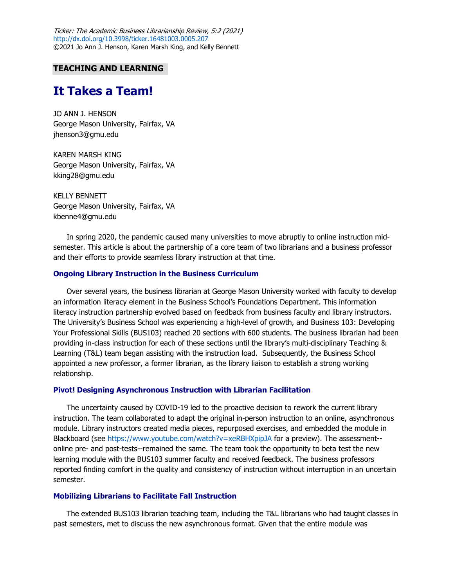Ticker: The Academic Business Librarianship Review, 5:2 (2021) <http://dx.doi.org/10.3998/ticker.16481003.0005.207> ©2021 Jo Ann J. Henson, Karen Marsh King, and Kelly Bennett

## **TEACHING AND LEARNING**

# **It Takes a Team!**

 JO ANN J. HENSON George Mason University, Fairfax, VA [jhenson3@gmu.edu](mailto:jhenson3@gmu.edu)

 KAREN MARSH KING George Mason University, Fairfax, VA [kking28@gmu.edu](mailto:kking28@gmu.edu)

 George Mason University, Fairfax, VA KELLY BENNETT [kbenne4@gmu.edu](mailto:kbenne4@gmu.edu) 

 In spring 2020, the pandemic caused many universities to move abruptly to online instruction mid- semester. This article is about the partnership of a core team of two librarians and a business professor and their efforts to provide seamless library instruction at that time.

# **Ongoing Library Instruction in the Business Curriculum**

 Over several years, the business librarian at George Mason University worked with faculty to develop an information literacy element in the Business School's Foundations Department. This information literacy instruction partnership evolved based on feedback from business faculty and library instructors. The University's Business School was experiencing a high-level of growth, and Business 103: Developing Your Professional Skills (BUS103) reached 20 sections with 600 students. The business librarian had been providing in-class instruction for each of these sections until the library's multi-disciplinary Teaching & Learning (T&L) team began assisting with the instruction load. Subsequently, the Business School appointed a new professor, a former librarian, as the library liaison to establish a strong working relationship.

#### **Pivot! Designing Asynchronous Instruction with Librarian Facilitation**

 The uncertainty caused by COVID-19 led to the proactive decision to rework the current library instruction. The team collaborated to adapt the original in-person instruction to an online, asynchronous module. Library instructors created media pieces, repurposed exercises, and embedded the module in Blackboard (see<https://www.youtube.com/watch?v=xeRBHXpipJA>for a preview). The assessment-- online pre- and post-tests--remained the same. The team took the opportunity to beta test the new learning module with the BUS103 summer faculty and received feedback. The business professors reported finding comfort in the quality and consistency of instruction without interruption in an uncertain semester.

## **Mobilizing Librarians to Facilitate Fall Instruction**

 The extended BUS103 librarian teaching team, including the T&L librarians who had taught classes in past semesters, met to discuss the new asynchronous format. Given that the entire module was